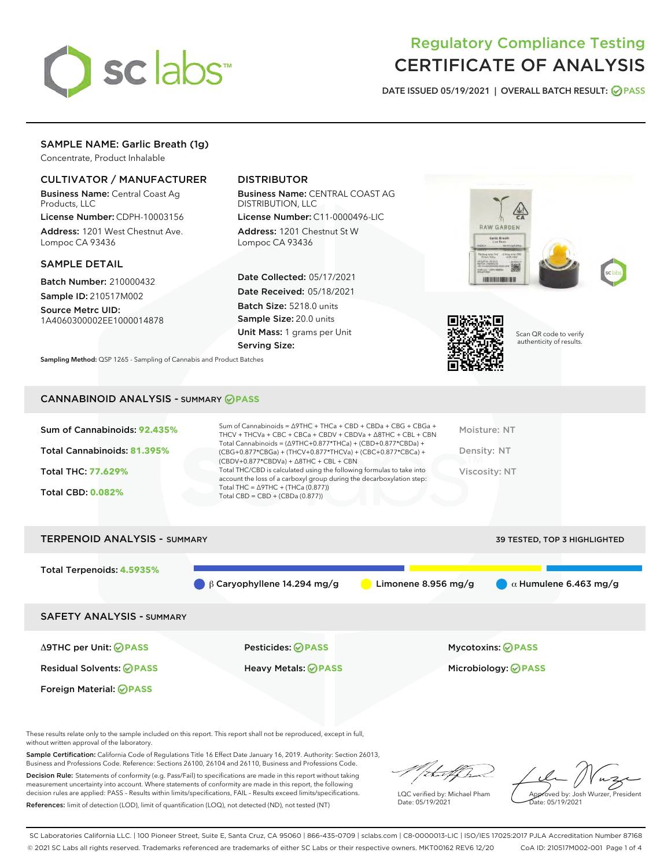

# Regulatory Compliance Testing CERTIFICATE OF ANALYSIS

DATE ISSUED 05/19/2021 | OVERALL BATCH RESULT: @ PASS

# SAMPLE NAME: Garlic Breath (1g)

Concentrate, Product Inhalable

# CULTIVATOR / MANUFACTURER

Business Name: Central Coast Ag Products, LLC

License Number: CDPH-10003156 Address: 1201 West Chestnut Ave. Lompoc CA 93436

### SAMPLE DETAIL

Batch Number: 210000432 Sample ID: 210517M002

Source Metrc UID: 1A4060300002EE1000014878

# DISTRIBUTOR

Business Name: CENTRAL COAST AG DISTRIBUTION, LLC

License Number: C11-0000496-LIC Address: 1201 Chestnut St W Lompoc CA 93436

Date Collected: 05/17/2021 Date Received: 05/18/2021 Batch Size: 5218.0 units Sample Size: 20.0 units Unit Mass: 1 grams per Unit Serving Size:





Scan QR code to verify authenticity of results.

Sampling Method: QSP 1265 - Sampling of Cannabis and Product Batches

# CANNABINOID ANALYSIS - SUMMARY **PASS**

| Sum of Cannabinoids: 92.435% | Sum of Cannabinoids = $\triangle$ 9THC + THCa + CBD + CBDa + CBG + CBGa +<br>THCV + THCVa + CBC + CBCa + CBDV + CBDVa + $\land$ 8THC + CBL + CBN                                     | Moisture: NT  |
|------------------------------|--------------------------------------------------------------------------------------------------------------------------------------------------------------------------------------|---------------|
| Total Cannabinoids: 81.395%  | Total Cannabinoids = $(\Delta$ 9THC+0.877*THCa) + (CBD+0.877*CBDa) +<br>(CBG+0.877*CBGa) + (THCV+0.877*THCVa) + (CBC+0.877*CBCa) +<br>$(CBDV+0.877*CBDVa) + \Delta 8THC + CBL + CBN$ | Density: NT   |
| Total THC: 77.629%           | Total THC/CBD is calculated using the following formulas to take into<br>account the loss of a carboxyl group during the decarboxylation step:                                       | Viscosity: NT |
| <b>Total CBD: 0.082%</b>     | Total THC = $\triangle$ 9THC + (THCa (0.877))<br>Total CBD = $CBD + (CBDa (0.877))$                                                                                                  |               |
|                              |                                                                                                                                                                                      |               |



These results relate only to the sample included on this report. This report shall not be reproduced, except in full, without written approval of the laboratory.

Sample Certification: California Code of Regulations Title 16 Effect Date January 16, 2019. Authority: Section 26013, Business and Professions Code. Reference: Sections 26100, 26104 and 26110, Business and Professions Code.

Decision Rule: Statements of conformity (e.g. Pass/Fail) to specifications are made in this report without taking measurement uncertainty into account. Where statements of conformity are made in this report, the following decision rules are applied: PASS – Results within limits/specifications, FAIL – Results exceed limits/specifications. References: limit of detection (LOD), limit of quantification (LOQ), not detected (ND), not tested (NT)

:Hatf Is

LQC verified by: Michael Pham Date: 05/19/2021

Approved by: Josh Wurzer, President ate: 05/19/2021

SC Laboratories California LLC. | 100 Pioneer Street, Suite E, Santa Cruz, CA 95060 | 866-435-0709 | sclabs.com | C8-0000013-LIC | ISO/IES 17025:2017 PJLA Accreditation Number 87168 © 2021 SC Labs all rights reserved. Trademarks referenced are trademarks of either SC Labs or their respective owners. MKT00162 REV6 12/20 CoA ID: 210517M002-001 Page 1 of 4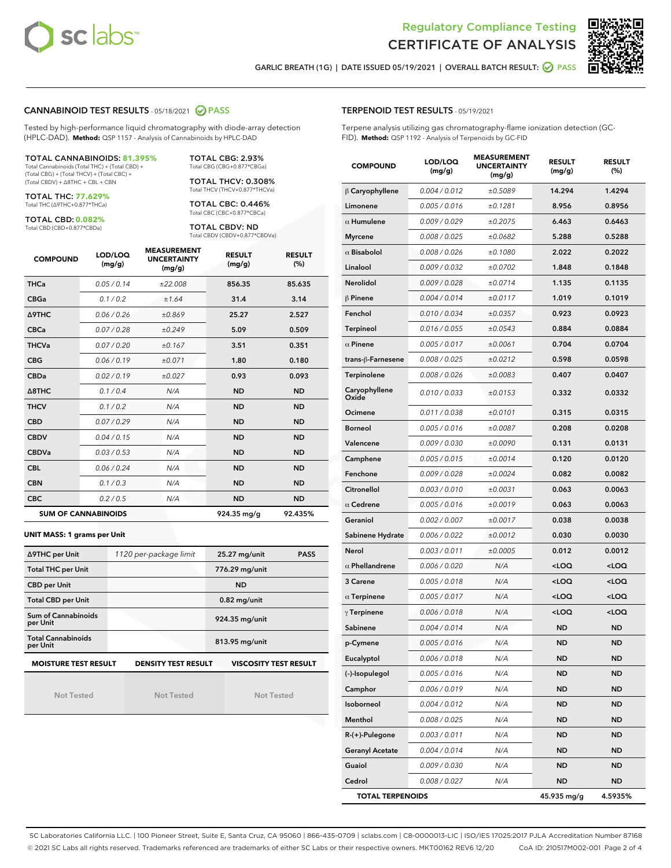



GARLIC BREATH (1G) | DATE ISSUED 05/19/2021 | OVERALL BATCH RESULT: @ PASS

### CANNABINOID TEST RESULTS - 05/18/2021 2 PASS

Tested by high-performance liquid chromatography with diode-array detection (HPLC-DAD). **Method:** QSP 1157 - Analysis of Cannabinoids by HPLC-DAD

#### TOTAL CANNABINOIDS: **81.395%**

Total Cannabinoids (Total THC) + (Total CBD) + (Total CBG) + (Total THCV) + (Total CBC) + (Total CBDV) + ∆8THC + CBL + CBN

TOTAL THC: **77.629%** Total THC (∆9THC+0.877\*THCa)

TOTAL CBD: **0.082%**

Total CBD (CBD+0.877\*CBDa)

TOTAL CBG: 2.93% Total CBG (CBG+0.877\*CBGa)

TOTAL THCV: 0.308% Total THCV (THCV+0.877\*THCVa)

TOTAL CBC: 0.446% Total CBC (CBC+0.877\*CBCa)

TOTAL CBDV: ND Total CBDV (CBDV+0.877\*CBDVa)

| <b>COMPOUND</b> | LOD/LOQ<br>(mg/g)          | <b>MEASUREMENT</b><br><b>UNCERTAINTY</b><br>(mg/g) | <b>RESULT</b><br>(mg/g) | <b>RESULT</b><br>(%) |
|-----------------|----------------------------|----------------------------------------------------|-------------------------|----------------------|
| <b>THCa</b>     | 0.05/0.14                  | ±22.008                                            | 856.35                  | 85.635               |
| <b>CBGa</b>     | 0.1 / 0.2                  | ±1.64                                              | 31.4                    | 3.14                 |
| <b>A9THC</b>    | 0.06 / 0.26                | ±0.869                                             | 25.27                   | 2.527                |
| <b>CBCa</b>     | 0.07 / 0.28                | ±0.249                                             | 5.09                    | 0.509                |
| <b>THCVa</b>    | 0.07/0.20                  | ±0.167                                             | 3.51                    | 0.351                |
| <b>CBG</b>      | 0.06/0.19                  | ±0.071                                             | 1.80                    | 0.180                |
| <b>CBDa</b>     | 0.02/0.19                  | ±0.027                                             | 0.93                    | 0.093                |
| A8THC           | 0.1/0.4                    | N/A                                                | <b>ND</b>               | <b>ND</b>            |
| <b>THCV</b>     | 0.1/0.2                    | N/A                                                | <b>ND</b>               | <b>ND</b>            |
| <b>CBD</b>      | 0.07/0.29                  | N/A                                                | <b>ND</b>               | <b>ND</b>            |
| <b>CBDV</b>     | 0.04/0.15                  | N/A                                                | <b>ND</b>               | <b>ND</b>            |
| <b>CBDVa</b>    | 0.03/0.53                  | N/A                                                | <b>ND</b>               | <b>ND</b>            |
| <b>CBL</b>      | 0.06 / 0.24                | N/A                                                | <b>ND</b>               | <b>ND</b>            |
| <b>CBN</b>      | 0.1 / 0.3                  | N/A                                                | <b>ND</b>               | <b>ND</b>            |
| <b>CBC</b>      | 0.2 / 0.5                  | N/A                                                | <b>ND</b>               | <b>ND</b>            |
|                 | <b>SUM OF CANNABINOIDS</b> |                                                    | 924.35 mg/g             | 92.435%              |

#### **UNIT MASS: 1 grams per Unit**

| ∆9THC per Unit                         | 1120 per-package limit | <b>PASS</b><br>25.27 mg/unit |
|----------------------------------------|------------------------|------------------------------|
| <b>Total THC per Unit</b>              |                        | 776.29 mg/unit               |
| <b>CBD per Unit</b>                    |                        | <b>ND</b>                    |
| <b>Total CBD per Unit</b>              |                        | $0.82$ mg/unit               |
| <b>Sum of Cannabinoids</b><br>per Unit |                        | 924.35 mg/unit               |
| <b>Total Cannabinoids</b><br>per Unit  |                        | 813.95 mg/unit               |
| <b>MOISTURE TEST RESULT</b>            | DENSITY TEST RESULT    | <b>VISCOSITY TEST RESULT</b> |

Not Tested

**MOISTURE TEST RESULT**

Not Tested

Not Tested

| <b>TERPENOID TEST RESULTS - 05/19/2021</b> |  |  |  |
|--------------------------------------------|--|--|--|
|--------------------------------------------|--|--|--|

Terpene analysis utilizing gas chromatography-flame ionization detection (GC-FID). **Method:** QSP 1192 - Analysis of Terpenoids by GC-FID

| <b>COMPOUND</b>         | LOD/LOQ<br>(mg/g) | <b>MEASUREMENT</b><br><b>UNCERTAINTY</b><br>(mg/g) | <b>RESULT</b><br>(mg/g)                         | <b>RESULT</b><br>(%) |
|-------------------------|-------------------|----------------------------------------------------|-------------------------------------------------|----------------------|
| $\beta$ Caryophyllene   | 0.004 / 0.012     | ±0.5089                                            | 14.294                                          | 1.4294               |
| Limonene                | 0.005 / 0.016     | ±0.1281                                            | 8.956                                           | 0.8956               |
| $\alpha$ Humulene       | 0.009/0.029       | ±0.2075                                            | 6.463                                           | 0.6463               |
| <b>Myrcene</b>          | 0.008 / 0.025     | ±0.0682                                            | 5.288                                           | 0.5288               |
| $\alpha$ Bisabolol      | 0.008 / 0.026     | ±0.1080                                            | 2.022                                           | 0.2022               |
| Linalool                | 0.009/0.032       | ±0.0702                                            | 1.848                                           | 0.1848               |
| Nerolidol               | 0.009 / 0.028     | ±0.0714                                            | 1.135                                           | 0.1135               |
| $\beta$ Pinene          | 0.004 / 0.014     | ±0.0117                                            | 1.019                                           | 0.1019               |
| Fenchol                 | 0.010 / 0.034     | ±0.0357                                            | 0.923                                           | 0.0923               |
| Terpineol               | 0.016 / 0.055     | ±0.0543                                            | 0.884                                           | 0.0884               |
| $\alpha$ Pinene         | 0.005 / 0.017     | ±0.0061                                            | 0.704                                           | 0.0704               |
| trans-ß-Farnesene       | 0.008 / 0.025     | ±0.0212                                            | 0.598                                           | 0.0598               |
| Terpinolene             | 0.008 / 0.026     | ±0.0083                                            | 0.407                                           | 0.0407               |
| Caryophyllene<br>Oxide  | 0.010 / 0.033     | ±0.0153                                            | 0.332                                           | 0.0332               |
| Ocimene                 | 0.011 / 0.038     | ±0.0101                                            | 0.315                                           | 0.0315               |
| <b>Borneol</b>          | 0.005 / 0.016     | ±0.0087                                            | 0.208                                           | 0.0208               |
| Valencene               | 0.009 / 0.030     | ±0.0090                                            | 0.131                                           | 0.0131               |
| Camphene                | 0.005 / 0.015     | ±0.0014                                            | 0.120                                           | 0.0120               |
| Fenchone                | 0.009 / 0.028     | ±0.0024                                            | 0.082                                           | 0.0082               |
| Citronellol             | 0.003 / 0.010     | ±0.0031                                            | 0.063                                           | 0.0063               |
| $\alpha$ Cedrene        | 0.005 / 0.016     | ±0.0019                                            | 0.063                                           | 0.0063               |
| Geraniol                | 0.002 / 0.007     | ±0.0017                                            | 0.038                                           | 0.0038               |
| Sabinene Hydrate        | 0.006 / 0.022     | ±0.0012                                            | 0.030                                           | 0.0030               |
| Nerol                   | 0.003 / 0.011     | ±0.0005                                            | 0.012                                           | 0.0012               |
| $\alpha$ Phellandrene   | 0.006 / 0.020     | N/A                                                | <loq< th=""><th><loq< th=""></loq<></th></loq<> | <loq< th=""></loq<>  |
| 3 Carene                | 0.005 / 0.018     | N/A                                                | <loq< th=""><th><loq< th=""></loq<></th></loq<> | <loq< th=""></loq<>  |
| $\alpha$ Terpinene      | 0.005 / 0.017     | N/A                                                | <loq< th=""><th><loq< th=""></loq<></th></loq<> | <loq< th=""></loq<>  |
| $\gamma$ Terpinene      | 0.006 / 0.018     | N/A                                                | <loq< th=""><th><loq< th=""></loq<></th></loq<> | <loq< th=""></loq<>  |
| Sabinene                | 0.004 / 0.014     | N/A                                                | ND                                              | ND                   |
| p-Cymene                | 0.005 / 0.016     | N/A                                                | <b>ND</b>                                       | <b>ND</b>            |
| Eucalyptol              | 0.006 / 0.018     | N/A                                                | ND                                              | ND                   |
| (-)-Isopulegol          | 0.005 / 0.016     | N/A                                                | <b>ND</b>                                       | ND                   |
| Camphor                 | 0.006 / 0.019     | N/A                                                | ND                                              | ND                   |
| Isoborneol              | 0.004 / 0.012     | N/A                                                | ND                                              | ND                   |
| Menthol                 | 0.008 / 0.025     | N/A                                                | ND                                              | ND                   |
| R-(+)-Pulegone          | 0.003 / 0.011     | N/A                                                | ND                                              | ND                   |
| <b>Geranyl Acetate</b>  | 0.004 / 0.014     | N/A                                                | ND                                              | ND                   |
| Guaiol                  | 0.009 / 0.030     | N/A                                                | ND                                              | ND                   |
| Cedrol                  | 0.008 / 0.027     | N/A                                                | ND                                              | ND                   |
| <b>TOTAL TERPENOIDS</b> |                   |                                                    | 45.935 mg/g                                     | 4.5935%              |

SC Laboratories California LLC. | 100 Pioneer Street, Suite E, Santa Cruz, CA 95060 | 866-435-0709 | sclabs.com | C8-0000013-LIC | ISO/IES 17025:2017 PJLA Accreditation Number 87168 © 2021 SC Labs all rights reserved. Trademarks referenced are trademarks of either SC Labs or their respective owners. MKT00162 REV6 12/20 CoA ID: 210517M002-001 Page 2 of 4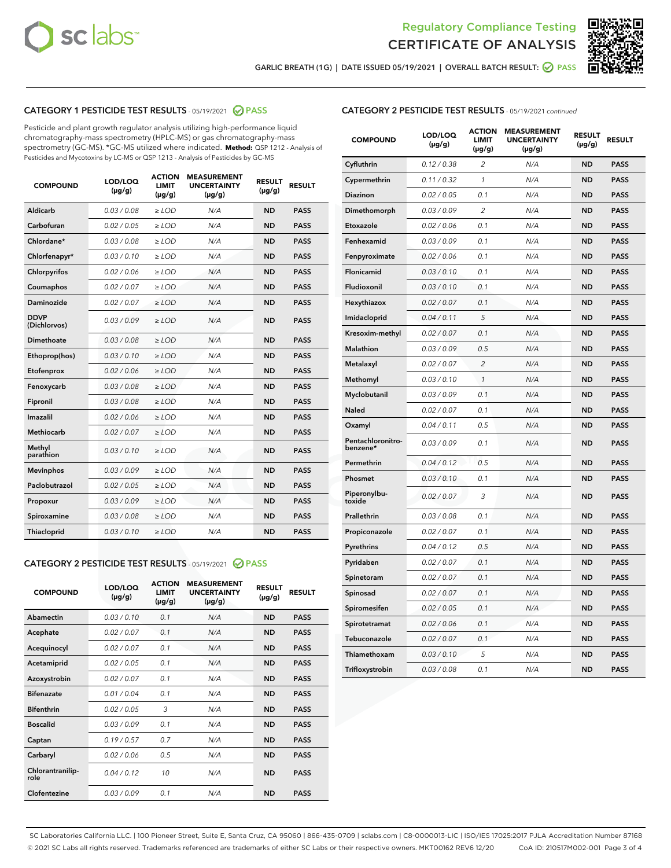



GARLIC BREATH (1G) | DATE ISSUED 05/19/2021 | OVERALL BATCH RESULT:  $\bigcirc$  PASS

# CATEGORY 1 PESTICIDE TEST RESULTS - 05/19/2021 2 PASS

Pesticide and plant growth regulator analysis utilizing high-performance liquid chromatography-mass spectrometry (HPLC-MS) or gas chromatography-mass spectrometry (GC-MS). \*GC-MS utilized where indicated. **Method:** QSP 1212 - Analysis of Pesticides and Mycotoxins by LC-MS or QSP 1213 - Analysis of Pesticides by GC-MS

| <b>COMPOUND</b>             | LOD/LOQ<br>$(\mu g/g)$ | <b>ACTION</b><br>LIMIT<br>$(\mu g/g)$ | <b>MEASUREMENT</b><br><b>UNCERTAINTY</b><br>$(\mu g/g)$ | <b>RESULT</b><br>$(\mu g/g)$ | <b>RESULT</b> |
|-----------------------------|------------------------|---------------------------------------|---------------------------------------------------------|------------------------------|---------------|
| Aldicarb                    | 0.03 / 0.08            | $\ge$ LOD                             | N/A                                                     | <b>ND</b>                    | <b>PASS</b>   |
| Carbofuran                  | 0.02 / 0.05            | $\ge$ LOD                             | N/A                                                     | <b>ND</b>                    | <b>PASS</b>   |
| Chlordane*                  | 0.03 / 0.08            | $\ge$ LOD                             | N/A                                                     | <b>ND</b>                    | <b>PASS</b>   |
| Chlorfenapyr*               | 0.03/0.10              | $\ge$ LOD                             | N/A                                                     | <b>ND</b>                    | <b>PASS</b>   |
| Chlorpyrifos                | 0.02/0.06              | $>$ LOD                               | N/A                                                     | <b>ND</b>                    | <b>PASS</b>   |
| Coumaphos                   | 0.02 / 0.07            | $\ge$ LOD                             | N/A                                                     | <b>ND</b>                    | <b>PASS</b>   |
| Daminozide                  | 0.02/0.07              | $>$ LOD                               | N/A                                                     | <b>ND</b>                    | <b>PASS</b>   |
| <b>DDVP</b><br>(Dichlorvos) | 0.03/0.09              | $\ge$ LOD                             | N/A                                                     | <b>ND</b>                    | <b>PASS</b>   |
| Dimethoate                  | 0.03/0.08              | $>$ LOD                               | N/A                                                     | <b>ND</b>                    | <b>PASS</b>   |
| Ethoprop(hos)               | 0.03/0.10              | $\ge$ LOD                             | N/A                                                     | <b>ND</b>                    | <b>PASS</b>   |
| Etofenprox                  | 0.02/0.06              | $>$ LOD                               | N/A                                                     | <b>ND</b>                    | <b>PASS</b>   |
| Fenoxycarb                  | 0.03 / 0.08            | $\ge$ LOD                             | N/A                                                     | <b>ND</b>                    | <b>PASS</b>   |
| Fipronil                    | 0.03 / 0.08            | $\ge$ LOD                             | N/A                                                     | <b>ND</b>                    | <b>PASS</b>   |
| Imazalil                    | 0.02 / 0.06            | $>$ LOD                               | N/A                                                     | <b>ND</b>                    | <b>PASS</b>   |
| Methiocarb                  | 0.02 / 0.07            | $\ge$ LOD                             | N/A                                                     | <b>ND</b>                    | <b>PASS</b>   |
| Methyl<br>parathion         | 0.03/0.10              | $\ge$ LOD                             | N/A                                                     | <b>ND</b>                    | <b>PASS</b>   |
| <b>Mevinphos</b>            | 0.03/0.09              | $\ge$ LOD                             | N/A                                                     | <b>ND</b>                    | <b>PASS</b>   |
| Paclobutrazol               | 0.02 / 0.05            | $\ge$ LOD                             | N/A                                                     | <b>ND</b>                    | <b>PASS</b>   |
| Propoxur                    | 0.03/0.09              | $\ge$ LOD                             | N/A                                                     | <b>ND</b>                    | <b>PASS</b>   |
| Spiroxamine                 | 0.03 / 0.08            | $\ge$ LOD                             | N/A                                                     | <b>ND</b>                    | <b>PASS</b>   |
| Thiacloprid                 | 0.03/0.10              | $\ge$ LOD                             | N/A                                                     | <b>ND</b>                    | <b>PASS</b>   |

# CATEGORY 2 PESTICIDE TEST RESULTS - 05/19/2021 @ PASS

| <b>COMPOUND</b>          | LOD/LOO<br>$(\mu g/g)$ | <b>ACTION</b><br>LIMIT<br>$(\mu g/g)$ | <b>MEASUREMENT</b><br><b>UNCERTAINTY</b><br>$(\mu g/g)$ | <b>RESULT</b><br>$(\mu g/g)$ | <b>RESULT</b> |  |
|--------------------------|------------------------|---------------------------------------|---------------------------------------------------------|------------------------------|---------------|--|
| Abamectin                | 0.03/0.10              | 0.1                                   | N/A                                                     | <b>ND</b>                    | <b>PASS</b>   |  |
| Acephate                 | 0.02/0.07              | 0.1                                   | N/A                                                     | <b>ND</b>                    | <b>PASS</b>   |  |
| Acequinocyl              | 0.02/0.07              | 0.1                                   | N/A                                                     | <b>ND</b>                    | <b>PASS</b>   |  |
| Acetamiprid              | 0.02/0.05              | 0.1                                   | N/A                                                     | <b>ND</b>                    | <b>PASS</b>   |  |
| Azoxystrobin             | 0.02/0.07              | 0.1                                   | N/A                                                     | <b>ND</b>                    | <b>PASS</b>   |  |
| <b>Bifenazate</b>        | 0.01/0.04              | 0.1                                   | N/A                                                     | <b>ND</b>                    | <b>PASS</b>   |  |
| <b>Bifenthrin</b>        | 0.02/0.05              | 3                                     | N/A                                                     | <b>ND</b>                    | <b>PASS</b>   |  |
| <b>Boscalid</b>          | 0.03/0.09              | 0.1                                   | N/A                                                     | <b>ND</b>                    | <b>PASS</b>   |  |
| Captan                   | 0.19/0.57              | 0.7                                   | N/A                                                     | <b>ND</b>                    | <b>PASS</b>   |  |
| Carbaryl                 | 0.02/0.06              | 0.5                                   | N/A                                                     | <b>ND</b>                    | <b>PASS</b>   |  |
| Chlorantranilip-<br>role | 0.04/0.12              | 10                                    | N/A                                                     | <b>ND</b>                    | <b>PASS</b>   |  |
| Clofentezine             | 0.03/0.09              | 0.1                                   | N/A                                                     | <b>ND</b>                    | <b>PASS</b>   |  |

| <b>COMPOUND</b>               | LOD/LOQ<br>(µg/g) | ACTION<br><b>LIMIT</b><br>$(\mu g/g)$ | <b>MEASUREMENT</b><br><b>UNCERTAINTY</b><br>(µg/g) | <b>RESULT</b><br>(µg/g) | <b>RESULT</b> |
|-------------------------------|-------------------|---------------------------------------|----------------------------------------------------|-------------------------|---------------|
| Cyfluthrin                    | 0.12 / 0.38       | 2                                     | N/A                                                | <b>ND</b>               | <b>PASS</b>   |
| Cypermethrin                  | 0.11 / 0.32       | $\mathbf{1}$                          | N/A                                                | <b>ND</b>               | <b>PASS</b>   |
| Diazinon                      | 0.02 / 0.05       | 0.1                                   | N/A                                                | <b>ND</b>               | <b>PASS</b>   |
| Dimethomorph                  | 0.03 / 0.09       | 2                                     | N/A                                                | ND                      | <b>PASS</b>   |
| Etoxazole                     | 0.02 / 0.06       | 0.1                                   | N/A                                                | <b>ND</b>               | <b>PASS</b>   |
| Fenhexamid                    | 0.03 / 0.09       | 0.1                                   | N/A                                                | <b>ND</b>               | <b>PASS</b>   |
| Fenpyroximate                 | 0.02 / 0.06       | 0.1                                   | N/A                                                | ND                      | <b>PASS</b>   |
| Flonicamid                    | 0.03 / 0.10       | 0.1                                   | N/A                                                | <b>ND</b>               | <b>PASS</b>   |
| Fludioxonil                   | 0.03 / 0.10       | 0.1                                   | N/A                                                | <b>ND</b>               | <b>PASS</b>   |
| Hexythiazox                   | 0.02 / 0.07       | 0.1                                   | N/A                                                | <b>ND</b>               | <b>PASS</b>   |
| Imidacloprid                  | 0.04 / 0.11       | 5                                     | N/A                                                | <b>ND</b>               | <b>PASS</b>   |
| Kresoxim-methyl               | 0.02 / 0.07       | 0.1                                   | N/A                                                | <b>ND</b>               | <b>PASS</b>   |
| <b>Malathion</b>              | 0.03/0.09         | 0.5                                   | N/A                                                | ND                      | <b>PASS</b>   |
| Metalaxyl                     | 0.02 / 0.07       | $\overline{2}$                        | N/A                                                | <b>ND</b>               | <b>PASS</b>   |
| Methomyl                      | 0.03 / 0.10       | $\mathcal{I}$                         | N/A                                                | <b>ND</b>               | <b>PASS</b>   |
| Myclobutanil                  | 0.03 / 0.09       | 0.1                                   | N/A                                                | <b>ND</b>               | <b>PASS</b>   |
| <b>Naled</b>                  | 0.02 / 0.07       | 0.1                                   | N/A                                                | <b>ND</b>               | <b>PASS</b>   |
| Oxamyl                        | 0.04 / 0.11       | 0.5                                   | N/A                                                | <b>ND</b>               | <b>PASS</b>   |
| Pentachloronitro-<br>benzene* | 0.03 / 0.09       | 0.1                                   | N/A                                                | <b>ND</b>               | <b>PASS</b>   |
| Permethrin                    | 0.04 / 0.12       | 0.5                                   | N/A                                                | <b>ND</b>               | <b>PASS</b>   |
| Phosmet                       | 0.03/0.10         | 0.1                                   | N/A                                                | <b>ND</b>               | <b>PASS</b>   |
| Piperonylbu-<br>toxide        | 0.02 / 0.07       | 3                                     | N/A                                                | <b>ND</b>               | <b>PASS</b>   |
| Prallethrin                   | 0.03 / 0.08       | 0.1                                   | N/A                                                | <b>ND</b>               | <b>PASS</b>   |
| Propiconazole                 | 0.02 / 0.07       | 0.1                                   | N/A                                                | <b>ND</b>               | <b>PASS</b>   |
| Pyrethrins                    | 0.04 / 0.12       | 0.5                                   | N/A                                                | <b>ND</b>               | <b>PASS</b>   |
| Pyridaben                     | 0.02 / 0.07       | 0.1                                   | N/A                                                | <b>ND</b>               | <b>PASS</b>   |
| Spinetoram                    | 0.02 / 0.07       | 0.1                                   | N/A                                                | <b>ND</b>               | <b>PASS</b>   |
| Spinosad                      | 0.02 / 0.07       | 0.1                                   | N/A                                                | <b>ND</b>               | <b>PASS</b>   |
| Spiromesifen                  | 0.02 / 0.05       | 0.1                                   | N/A                                                | ND                      | <b>PASS</b>   |
| Spirotetramat                 | 0.02 / 0.06       | 0.1                                   | N/A                                                | ND                      | <b>PASS</b>   |
| Tebuconazole                  | 0.02 / 0.07       | 0.1                                   | N/A                                                | <b>ND</b>               | <b>PASS</b>   |
| Thiamethoxam                  | 0.03 / 0.10       | 5                                     | N/A                                                | ND                      | <b>PASS</b>   |
| Trifloxystrobin               | 0.03 / 0.08       | 0.1                                   | N/A                                                | ND                      | <b>PASS</b>   |

SC Laboratories California LLC. | 100 Pioneer Street, Suite E, Santa Cruz, CA 95060 | 866-435-0709 | sclabs.com | C8-0000013-LIC | ISO/IES 17025:2017 PJLA Accreditation Number 87168 © 2021 SC Labs all rights reserved. Trademarks referenced are trademarks of either SC Labs or their respective owners. MKT00162 REV6 12/20 CoA ID: 210517M002-001 Page 3 of 4